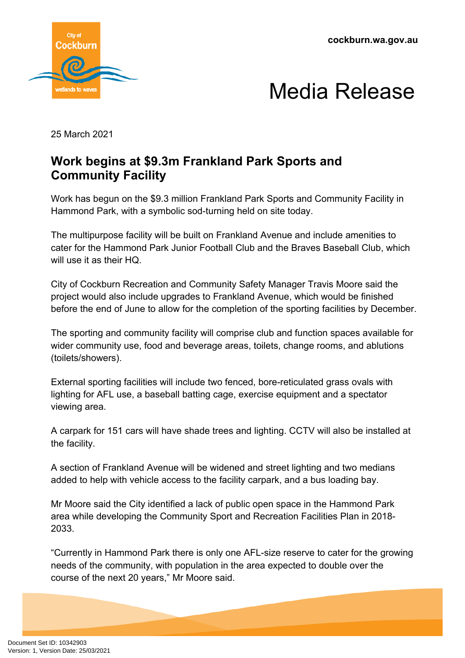**cockburn.wa.gov.au**





25 March 2021

## **Work begins at \$9.3m Frankland Park Sports and Community Facility**

Work has begun on the \$9.3 million Frankland Park Sports and Community Facility in Hammond Park, with a symbolic sod-turning held on site today.

The multipurpose facility will be built on Frankland Avenue and include amenities to cater for the Hammond Park Junior Football Club and the Braves Baseball Club, which will use it as their HQ.

City of Cockburn Recreation and Community Safety Manager Travis Moore said the project would also include upgrades to Frankland Avenue, which would be finished before the end of June to allow for the completion of the sporting facilities by December.

The sporting and community facility will comprise club and function spaces available for wider community use, food and beverage areas, toilets, change rooms, and ablutions (toilets/showers).

External sporting facilities will include two fenced, bore-reticulated grass ovals with lighting for AFL use, a baseball batting cage, exercise equipment and a spectator viewing area.

A carpark for 151 cars will have shade trees and lighting. CCTV will also be installed at the facility.

A section of Frankland Avenue will be widened and street lighting and two medians added to help with vehicle access to the facility carpark, and a bus loading bay.

Mr Moore said the City identified a lack of public open space in the Hammond Park area while developing the Community Sport and Recreation Facilities Plan in 2018- 2033.

"Currently in Hammond Park there is only one AFL-size reserve to cater for the growing needs of the community, with population in the area expected to double over the course of the next 20 years," Mr Moore said.